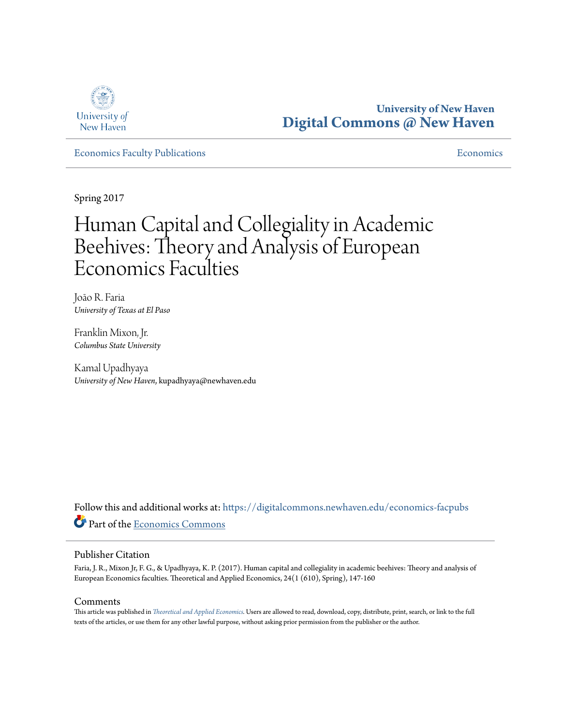

**University of New Haven [Digital Commons @ New Haven](https://digitalcommons.newhaven.edu?utm_source=digitalcommons.newhaven.edu%2Feconomics-facpubs%2F17&utm_medium=PDF&utm_campaign=PDFCoverPages)**

[Economics Faculty Publications](https://digitalcommons.newhaven.edu/economics-facpubs?utm_source=digitalcommons.newhaven.edu%2Feconomics-facpubs%2F17&utm_medium=PDF&utm_campaign=PDFCoverPages) [Economics](https://digitalcommons.newhaven.edu/economics?utm_source=digitalcommons.newhaven.edu%2Feconomics-facpubs%2F17&utm_medium=PDF&utm_campaign=PDFCoverPages)

Spring 2017

# Human Capital and Collegiality in Academic Beehives: Theory and Analysis of European Economics Faculties

João R. Faria *University of Texas at El Paso*

Franklin Mixon, Jr. *Columbus State University*

Kamal Upadhyaya *University of New Haven*, kupadhyaya@newhaven.edu

Follow this and additional works at: [https://digitalcommons.newhaven.edu/economics-facpubs](https://digitalcommons.newhaven.edu/economics-facpubs?utm_source=digitalcommons.newhaven.edu%2Feconomics-facpubs%2F17&utm_medium=PDF&utm_campaign=PDFCoverPages) Part of the [Economics Commons](http://network.bepress.com/hgg/discipline/340?utm_source=digitalcommons.newhaven.edu%2Feconomics-facpubs%2F17&utm_medium=PDF&utm_campaign=PDFCoverPages)

#### Publisher Citation

Faria, J. R., Mixon Jr, F. G., & Upadhyaya, K. P. (2017). Human capital and collegiality in academic beehives: Theory and analysis of European Economics faculties. Theoretical and Applied Economics, 24(1 (610), Spring), 147-160

#### Comments

This article was published in *[Theoretical and Applied Economics.](http://store.ectap.ro/articole/1251.pdf%20)* Users are allowed to read, download, copy, distribute, print, search, or link to the full texts of the articles, or use them for any other lawful purpose, without asking prior permission from the publisher or the author.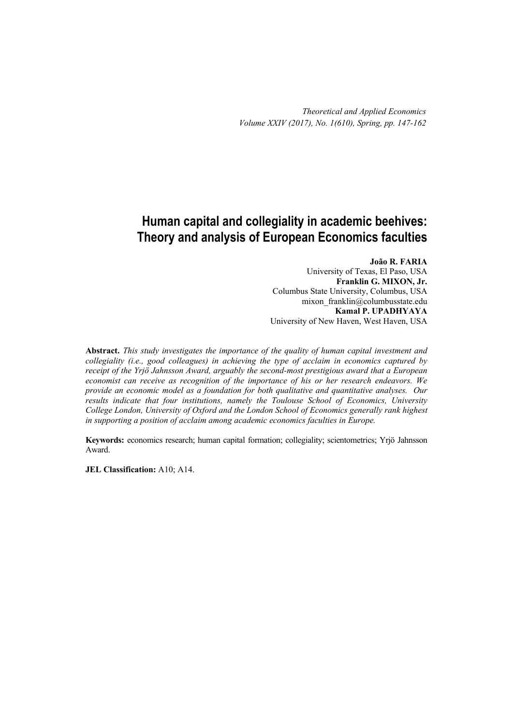*Theoretical and Applied Economics Volume XXIV (2017), No. 1(610), Spring, pp. 147-162*

# **Human capital and collegiality in academic beehives: Theory and analysis of European Economics faculties**

**João R. FARIA**  University of Texas, El Paso, USA **Franklin G. MIXON, Jr.**  Columbus State University, Columbus, USA mixon franklin@columbusstate.edu **Kamal P. UPADHYAYA**  University of New Haven, West Haven, USA

**Abstract.** *This study investigates the importance of the quality of human capital investment and collegiality (i.e., good colleagues) in achieving the type of acclaim in economics captured by receipt of the Yrjö Jahnsson Award, arguably the second-most prestigious award that a European economist can receive as recognition of the importance of his or her research endeavors. We provide an economic model as a foundation for both qualitative and quantitative analyses. Our results indicate that four institutions, namely the Toulouse School of Economics, University College London, University of Oxford and the London School of Economics generally rank highest in supporting a position of acclaim among academic economics faculties in Europe.* 

**Keywords:** economics research; human capital formation; collegiality; scientometrics; Yrjö Jahnsson Award.

**JEL Classification:** A10; A14.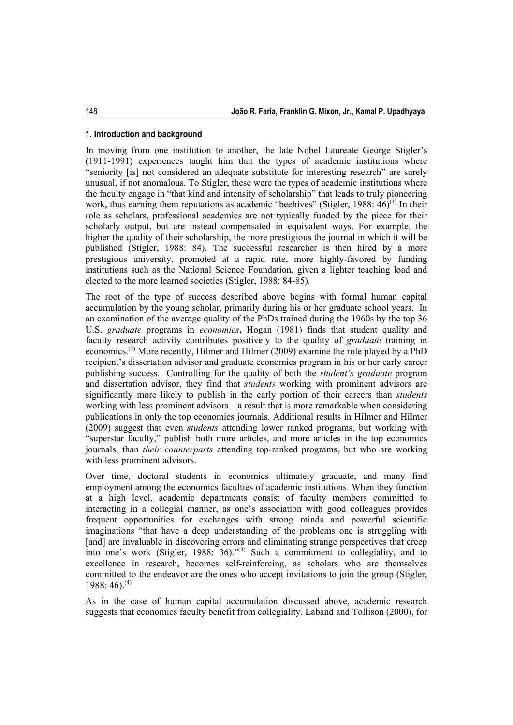#### **1. Introduction and background**

In moving from one institution to another, the late Nobel Laureate George Stigler's (1911-1991) experiences taught him that the types of academic institutions where "seniority [is] not considered an adequate substitute for interesting research" are surely unusual, if not anomalous. To Stigler, these were the types of academic institutions where the faculty engage in "that kind and intensity of scholarship" that leads to truly pioneering work, thus earning them reputations as academic "beehives" (Stigler, 1988:  $46)^{(1)}$  In their role as scholars, professional academics are not typically funded by the piece for their scholarly output, but are instead compensated in equivalent ways. For example, the higher the quality of their scholarship, the more prestigious the journal in which it will be published (Stigler, 1988: 84). The successful researcher is then hired by a more prestigious university, promoted at a rapid rate, more highly-favored by funding institutions such as the National Science Foundation, given a lighter teaching load and elected to the more learned societies (Stigler, 1988: 84-85).

The root of the type of success described above begins with formal human capital accumulation by the young scholar, primarily during his or her graduate school years. In an examination of the average quality of the PhDs trained during the 1960s by the top 36 U.S. *graduate* programs in *economics***,** Hogan (1981) finds that student quality and faculty research activity contributes positively to the quality of *graduate* training in economics.(2) More recently, Hilmer and Hilmer (2009) examine the role played by a PhD recipient's dissertation advisor and graduate economics program in his or her early career publishing success. Controlling for the quality of both the *student's graduate* program and dissertation advisor, they find that *students* working with prominent advisors are significantly more likely to publish in the early portion of their careers than *students* working with less prominent advisors – a result that is more remarkable when considering publications in only the top economics journals. Additional results in Hilmer and Hilmer (2009) suggest that even *students* attending lower ranked programs, but working with "superstar faculty," publish both more articles, and more articles in the top economics journals, than *their counterparts* attending top-ranked programs, but who are working with less prominent advisors.

Over time, doctoral students in economics ultimately graduate, and many find employment among the economics faculties of academic institutions. When they function at a high level, academic departments consist of faculty members committed to interacting in a collegial manner, as one's association with good colleagues provides frequent opportunities for exchanges with strong minds and powerful scientific imaginations "that have a deep understanding of the problems one is struggling with [and] are invaluable in discovering errors and eliminating strange perspectives that creep into one's work (Stigler, 1988:  $36$ )."<sup>(3)</sup> Such a commitment to collegiality, and to excellence in research, becomes self-reinforcing, as scholars who are themselves committed to the endeavor are the ones who accept invitations to join the group (Stigler,  $1988:46$ <sup>(4)</sup>

As in the case of human capital accumulation discussed above, academic research suggests that economics faculty benefit from collegiality. Laband and Tollison (2000), for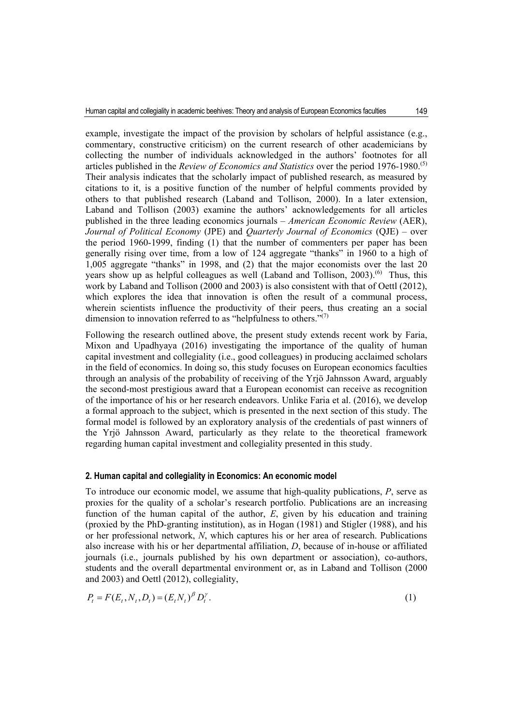example, investigate the impact of the provision by scholars of helpful assistance (e.g., commentary, constructive criticism) on the current research of other academicians by collecting the number of individuals acknowledged in the authors' footnotes for all articles published in the *Review of Economics and Statistics* over the period 1976-1980.(5) Their analysis indicates that the scholarly impact of published research, as measured by citations to it, is a positive function of the number of helpful comments provided by others to that published research (Laband and Tollison, 2000). In a later extension, Laband and Tollison (2003) examine the authors' acknowledgements for all articles published in the three leading economics journals – *American Economic Review* (AER), *Journal of Political Economy* (JPE) and *Quarterly Journal of Economics* (QJE) – over the period 1960-1999, finding (1) that the number of commenters per paper has been generally rising over time, from a low of 124 aggregate "thanks" in 1960 to a high of 1,005 aggregate "thanks" in 1998, and (2) that the major economists over the last 20 years show up as helpful colleagues as well (Laband and Tollison,  $2003$ ).<sup>(6)</sup> Thus, this work by Laband and Tollison (2000 and 2003) is also consistent with that of Oettl (2012), which explores the idea that innovation is often the result of a communal process, wherein scientists influence the productivity of their peers, thus creating an a social dimension to innovation referred to as "helpfulness to others." $(7)$ 

Following the research outlined above, the present study extends recent work by Faria, Mixon and Upadhyaya (2016) investigating the importance of the quality of human capital investment and collegiality (i.e., good colleagues) in producing acclaimed scholars in the field of economics. In doing so, this study focuses on European economics faculties through an analysis of the probability of receiving of the Yrjö Jahnsson Award, arguably the second-most prestigious award that a European economist can receive as recognition of the importance of his or her research endeavors. Unlike Faria et al. (2016), we develop a formal approach to the subject, which is presented in the next section of this study. The formal model is followed by an exploratory analysis of the credentials of past winners of the Yrjö Jahnsson Award, particularly as they relate to the theoretical framework regarding human capital investment and collegiality presented in this study.

#### **2. Human capital and collegiality in Economics: An economic model**

To introduce our economic model, we assume that high-quality publications, *P*, serve as proxies for the quality of a scholar's research portfolio. Publications are an increasing function of the human capital of the author, *E*, given by his education and training (proxied by the PhD-granting institution), as in Hogan (1981) and Stigler (1988), and his or her professional network, *N*, which captures his or her area of research. Publications also increase with his or her departmental affiliation, *D*, because of in-house or affiliated journals (i.e., journals published by his own department or association), co-authors, students and the overall departmental environment or, as in Laband and Tollison (2000 and 2003) and Oettl (2012), collegiality,

$$
P_t = F(E_t, N_t, D_t) = (E_t N_t)^{\beta} D_t^{\gamma}.
$$
\n(1)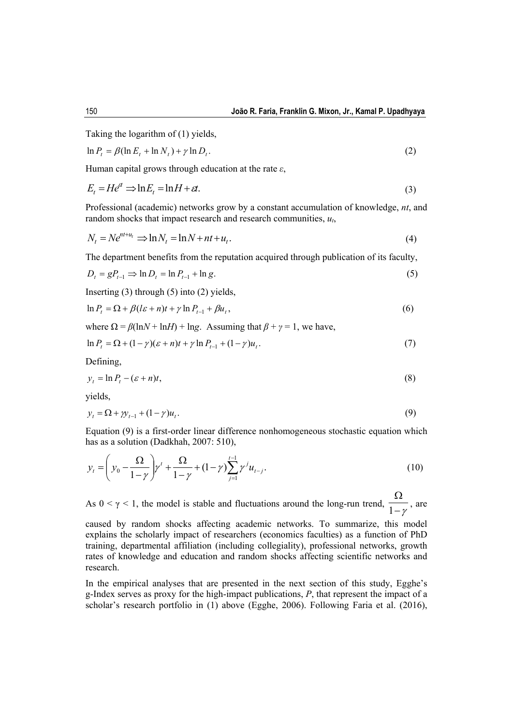Taking the logarithm of (1) yields,

$$
\ln P_t = \beta (\ln E_t + \ln N_t) + \gamma \ln D_t. \tag{2}
$$

Human capital grows through education at the rate *ε*,

$$
E_t = He^{at} \Rightarrow \ln E_t = \ln H + \varepsilon t. \tag{3}
$$

Professional (academic) networks grow by a constant accumulation of knowledge, *nt*, and random shocks that impact research and research communities, *ut*,

$$
N_t = Ne^{nt+u_t} \Rightarrow \ln N_t = \ln N + nt + u_t.
$$
\n<sup>(4)</sup>

The department benefits from the reputation acquired through publication of its faculty,

$$
D_t = gP_{t-1} \Rightarrow \ln D_t = \ln P_{t-1} + \ln g. \tag{5}
$$

Inserting  $(3)$  through  $(5)$  into  $(2)$  yields,

$$
\ln P_t = \Omega + \beta (l\varepsilon + n)t + \gamma \ln P_{t-1} + \beta u_t, \tag{6}
$$

where  $\Omega = \beta(\ln N + \ln H) + \ln g$ . Assuming that  $\beta + \gamma = 1$ , we have,

$$
\ln P_t = \Omega + (1 - \gamma)(\varepsilon + n)t + \gamma \ln P_{t-1} + (1 - \gamma)u_t.
$$
 (7)

Defining,

$$
y_t = \ln P_t - (\varepsilon + n)t,\tag{8}
$$

yields,

$$
y_t = \Omega + \gamma y_{t-1} + (1 - \gamma)u_t. \tag{9}
$$

Equation (9) is a first-order linear difference nonhomogeneous stochastic equation which has as a solution (Dadkhah, 2007: 510),

$$
y_{t} = \left(y_{0} - \frac{\Omega}{1 - \gamma}\right)\gamma^{t} + \frac{\Omega}{1 - \gamma} + (1 - \gamma)\sum_{j=1}^{t-1} \gamma^{j} u_{t-j}.
$$
\n(10)

As  $0 < \gamma < 1$ , the model is stable and fluctuations around the long-run trend,  $\frac{1-\gamma}{1-\gamma}$ Ω  $\frac{1-\gamma}{1-\gamma}$ , are

caused by random shocks affecting academic networks. To summarize, this model explains the scholarly impact of researchers (economics faculties) as a function of PhD training, departmental affiliation (including collegiality), professional networks, growth rates of knowledge and education and random shocks affecting scientific networks and research.

In the empirical analyses that are presented in the next section of this study, Egghe's g-Index serves as proxy for the high-impact publications, *P*, that represent the impact of a scholar's research portfolio in (1) above (Egghe, 2006). Following Faria et al. (2016),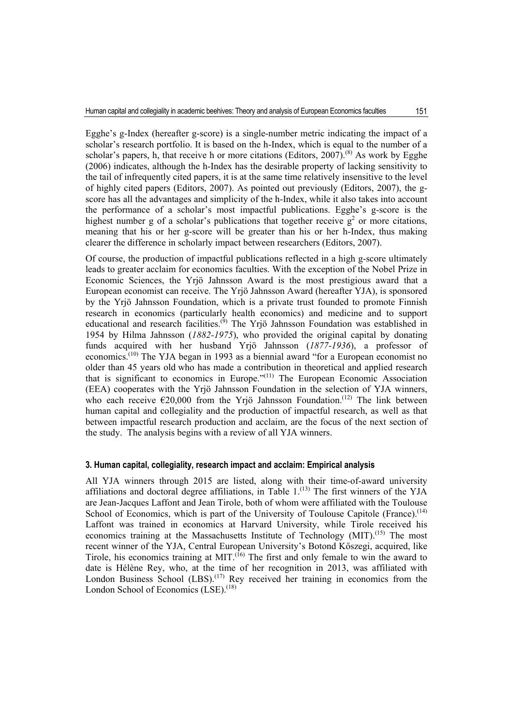Egghe's g-Index (hereafter g-score) is a single-number metric indicating the impact of a scholar's research portfolio. It is based on the h-Index, which is equal to the number of a scholar's papers, h, that receive h or more citations (Editors,  $2007$ ).<sup>(8)</sup> As work by Egghe (2006) indicates, although the h-Index has the desirable property of lacking sensitivity to the tail of infrequently cited papers, it is at the same time relatively insensitive to the level of highly cited papers (Editors, 2007). As pointed out previously (Editors, 2007), the gscore has all the advantages and simplicity of the h-Index, while it also takes into account the performance of a scholar's most impactful publications. Egghe's g-score is the highest number g of a scholar's publications that together receive  $g^2$  or more citations, meaning that his or her g-score will be greater than his or her h-Index, thus making clearer the difference in scholarly impact between researchers (Editors, 2007).

Of course, the production of impactful publications reflected in a high g-score ultimately leads to greater acclaim for economics faculties. With the exception of the Nobel Prize in Economic Sciences, the Yrjö Jahnsson Award is the most prestigious award that a European economist can receive. The Yrjö Jahnsson Award (hereafter YJA), is sponsored by the Yrjö Jahnsson Foundation, which is a private trust founded to promote Finnish research in economics (particularly health economics) and medicine and to support educational and research facilities.<sup>(9)</sup> The Yrjö Jahnsson Foundation was established in 1954 by Hilma Jahnsson (*1882-1975*), who provided the original capital by donating funds acquired with her husband Yrjö Jahnsson (*1877-1936*), a professor of economics.(10) The YJA began in 1993 as a biennial award "for a European economist no older than 45 years old who has made a contribution in theoretical and applied research that is significant to economics in Europe." $(11)$  The European Economic Association (EEA) cooperates with the Yrjö Jahnsson Foundation in the selection of YJA winners, who each receive  $\epsilon$ 20,000 from the Yrjö Jahnsson Foundation.<sup>(12)</sup> The link between human capital and collegiality and the production of impactful research, as well as that between impactful research production and acclaim, are the focus of the next section of the study. The analysis begins with a review of all YJA winners.

#### **3. Human capital, collegiality, research impact and acclaim: Empirical analysis**

All YJA winners through 2015 are listed, along with their time-of-award university affiliations and doctoral degree affiliations, in Table  $1$ .<sup>(13)</sup> The first winners of the YJA are Jean-Jacques Laffont and Jean Tirole, both of whom were affiliated with the Toulouse School of Economics, which is part of the University of Toulouse Capitole (France).<sup> $(14)$ </sup> Laffont was trained in economics at Harvard University, while Tirole received his economics training at the Massachusetts Institute of Technology (MIT).<sup>(15)</sup> The most recent winner of the YJA, Central European University's Botond Kőszegi, acquired, like Tirole, his economics training at MIT.<sup> $(i6)$ </sup> The first and only female to win the award to date is Hélène Rey, who, at the time of her recognition in 2013, was affiliated with London Business School  $(LES)$ .<sup>(17)</sup> Rey received her training in economics from the London School of Economics  $(LSE)$ .<sup>(18)</sup>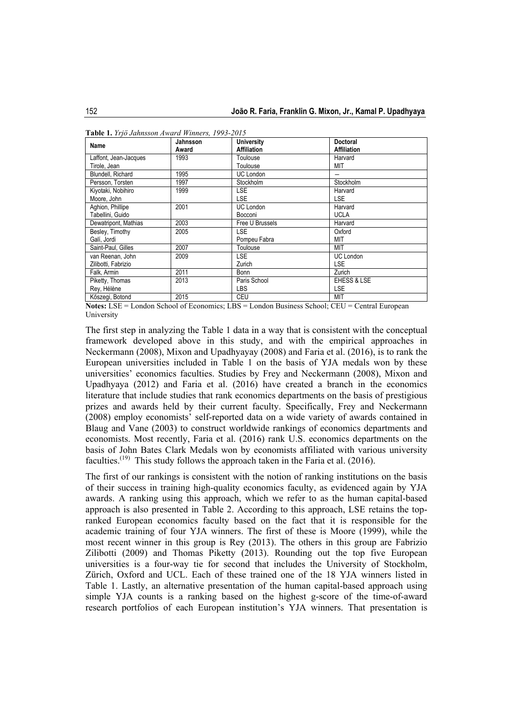| Name                  | Jahnsson<br>Award | <b>University</b><br><b>Affiliation</b> | <b>Doctoral</b><br><b>Affiliation</b> |
|-----------------------|-------------------|-----------------------------------------|---------------------------------------|
| Laffont, Jean-Jacques | 1993              | Toulouse                                | Harvard                               |
| Tirole, Jean          |                   | Toulouse                                | MIT                                   |
| Blundell, Richard     | 1995              | <b>UC London</b>                        |                                       |
| Persson, Torsten      | 1997              | Stockholm                               | Stockholm                             |
| Kiyotaki, Nobihiro    | 1999              | LSE.                                    | Harvard                               |
| Moore, John           |                   | <b>LSE</b>                              | <b>LSE</b>                            |
| Aghion, Phillipe      | 2001              | <b>UC London</b>                        | Harvard                               |
| Tabellini, Guido      |                   | Bocconi                                 | <b>UCLA</b>                           |
| Dewatripont, Mathias  | 2003              | Free U Brussels                         | Harvard                               |
| Besley, Timothy       | 2005              | <b>LSE</b>                              | Oxford                                |
| Galí, Jordi           |                   | Pompeu Fabra                            | MIT                                   |
| Saint-Paul, Gilles    | 2007              | Toulouse                                | MIT                                   |
| van Reenan, John      | 2009              | <b>LSE</b>                              | <b>UC London</b>                      |
| Zilibotti, Fabrizio   |                   | Zurich                                  | LSE.                                  |
| Falk, Armin           | 2011              | Bonn                                    | Zurich                                |
| Piketty, Thomas       | 2013              | Paris School                            | EHESS & LSE                           |
| Rey, Hélène           |                   | LBS                                     | LSE                                   |
| Kőszegi, Botond       | 2015              | CEU                                     | MIT                                   |

**Table 1.** *Yrjö Jahnsson Award Winners, 1993-2015* 

**Notes:** LSE = London School of Economics; LBS = London Business School; CEU = Central European University

The first step in analyzing the Table 1 data in a way that is consistent with the conceptual framework developed above in this study, and with the empirical approaches in Neckermann (2008), Mixon and Upadhyayay (2008) and Faria et al. (2016), is to rank the European universities included in Table 1 on the basis of YJA medals won by these universities' economics faculties. Studies by Frey and Neckermann (2008), Mixon and Upadhyaya (2012) and Faria et al. (2016) have created a branch in the economics literature that include studies that rank economics departments on the basis of prestigious prizes and awards held by their current faculty. Specifically, Frey and Neckermann (2008) employ economists' self-reported data on a wide variety of awards contained in Blaug and Vane (2003) to construct worldwide rankings of economics departments and economists. Most recently, Faria et al. (2016) rank U.S. economics departments on the basis of John Bates Clark Medals won by economists affiliated with various university faculties.<sup>(19)</sup> This study follows the approach taken in the Faria et al. (2016).

The first of our rankings is consistent with the notion of ranking institutions on the basis of their success in training high-quality economics faculty, as evidenced again by YJA awards. A ranking using this approach, which we refer to as the human capital-based approach is also presented in Table 2. According to this approach, LSE retains the topranked European economics faculty based on the fact that it is responsible for the academic training of four YJA winners. The first of these is Moore (1999), while the most recent winner in this group is Rey (2013). The others in this group are Fabrizio Zilibotti (2009) and Thomas Piketty (2013). Rounding out the top five European universities is a four-way tie for second that includes the University of Stockholm, Zürich, Oxford and UCL. Each of these trained one of the 18 YJA winners listed in Table 1. Lastly, an alternative presentation of the human capital-based approach using simple YJA counts is a ranking based on the highest g-score of the time-of-award research portfolios of each European institution's YJA winners. That presentation is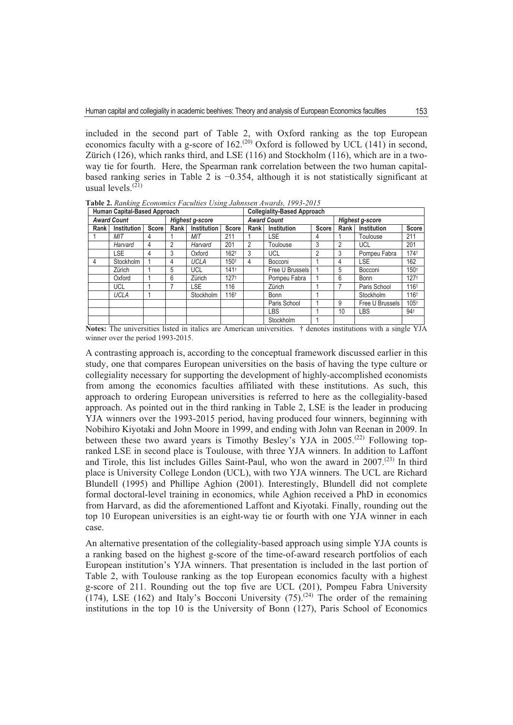included in the second part of Table 2, with Oxford ranking as the top European economics faculty with a g-score of 162.<sup>(20)</sup> Oxford is followed by UCL (141) in second, Zürich (126), which ranks third, and LSE (116) and Stockholm (116), which are in a twoway tie for fourth. Here, the Spearman rank correlation between the two human capitalbased ranking series in Table 2 is  $-0.354$ , although it is not statistically significant at usual levels. $\widetilde{^{(21)}}$ 

| Human Capital-Based Approach          |             |       |                    |                    | <b>Collegiality-Based Approach</b> |                        |                             |  |      |                    |                  |
|---------------------------------------|-------------|-------|--------------------|--------------------|------------------------------------|------------------------|-----------------------------|--|------|--------------------|------------------|
| <b>Award Count</b><br>Highest g-score |             |       | <b>Award Count</b> |                    |                                    | <b>Highest g-score</b> |                             |  |      |                    |                  |
| Rank                                  | Institution | Score | Rank               | <b>Institution</b> | <b>Score</b>                       | Rank I                 | Institution<br><b>Score</b> |  | Rank | <b>Institution</b> | <b>Score</b>     |
|                                       | МIТ         |       |                    | MIT                | 211                                |                        | LSE                         |  |      | Toulouse           | 211              |
|                                       | Harvard     | 4     | 2                  | Harvard            | 201                                | 2                      | Toulouse                    |  | 2    | <b>UCL</b>         | 201              |
|                                       | LSE.        | 4     | 3                  | Oxford             | 162 <sup>t</sup>                   | 3                      | <b>UCL</b>                  |  | 3    | Pompeu Fabra       | 1741             |
| 4                                     | Stockholm   |       | 4                  | <b>UCLA</b>        | 150t                               | 4                      | Bocconi                     |  | 4    | <b>LSE</b>         | 162              |
|                                       | Zürich      |       | 5                  | <b>UCL</b>         | 1411                               |                        | Free U Brussels             |  | 5    | Bocconi            | 150 <sup>t</sup> |
|                                       | Oxford      |       | 6                  | Zürich             | 1271                               |                        | Pompeu Fabra                |  | 6    | <b>Bonn</b>        | 1271             |
|                                       | <b>UCL</b>  |       |                    | <b>LSE</b>         | 116                                |                        | Zürich                      |  |      | Paris School       | 116 <sup>+</sup> |
|                                       | <b>UCLA</b> |       |                    | Stockholm          | 116 <sup>t</sup>                   |                        | <b>Bonn</b>                 |  |      | Stockholm          | 116 <sup>t</sup> |
|                                       |             |       |                    |                    |                                    |                        | Paris School                |  | 9    | Free U Brussels    | 105+             |
|                                       |             |       |                    |                    |                                    |                        | <b>LBS</b>                  |  | 10   | <b>LBS</b>         | 94+              |
|                                       |             |       |                    |                    |                                    |                        | Stockholm                   |  |      |                    |                  |

**Table 2.** Ranking Economics Faculties Using Jahnssen Awards, 1993-2015

Notes: The universities listed in italics are American universities. † denotes institutions with a single YJA winner over the period 1993-2015.

A contrasting approach is, according to the conceptual framework discussed earlier in this study, one that compares European universities on the basis of having the type culture or collegiality necessary for supporting the development of highly-accomplished economists from among the economics faculties affiliated with these institutions. As such, this approach to ordering European universities is referred to here as the collegiality-based approach. As pointed out in the third ranking in Table 2, LSE is the leader in producing YJA winners over the 1993-2015 period, having produced four winners, beginning with Nobihiro Kiyotaki and John Moore in 1999, and ending with John van Reenan in 2009. In between these two award years is Timothy Besley's YJA in  $2005$ .<sup>(22)</sup> Following topranked LSE in second place is Toulouse, with three YJA winners. In addition to Laffont and Tirole, this list includes Gilles Saint-Paul, who won the award in  $2007$ .<sup>(23)</sup> In third place is University College London (UCL), with two YJA winners. The UCL are Richard Blundell (1995) and Phillipe Aghion (2001). Interestingly, Blundell did not complete formal doctoral-level training in economics, while Aghion received a PhD in economics from Harvard, as did the aforementioned Laffont and Kiyotaki. Finally, rounding out the top 10 European universities is an eight-way tie or fourth with one YJA winner in each case.

An alternative presentation of the collegiality-based approach using simple YJA counts is a ranking based on the highest g-score of the time-of-award research portfolios of each European institution's YJA winners. That presentation is included in the last portion of Table 2, with Toulouse ranking as the top European economics faculty with a highest g-score of 211. Rounding out the top five are UCL  $(201)$ , Pompeu Fabra University (174), LSE (162) and Italy's Bocconi University (75).<sup>(24)</sup> The order of the remaining institutions in the top 10 is the University of Bonn  $(127)$ , Paris School of Economics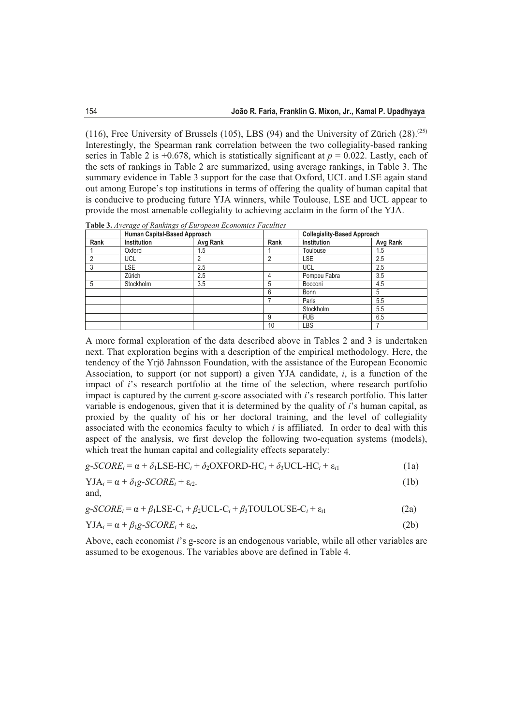(116), Free University of Brussels (105), LBS (94) and the University of Zürich  $(28)$ .<sup>(25)</sup> Interestingly, the Spearman rank correlation between the two collegiality-based ranking series in Table 2 is +0.678, which is statistically significant at  $p = 0.022$ . Lastly, each of the sets of rankings in Table 2 are summarized, using average rankings, in Table 3. The summary evidence in Table 3 support for the case that Oxford, UCL and LSE again stand out among Europe's top institutions in terms of offering the quality of human capital that is conducive to producing future YJA winners, while Toulouse, LSE and UCL appear to provide the most amenable collegiality to achieving acclaim in the form of the YJA.

**Table 3.** Average of Rankings of European Economics Faculties

|      | Human Capital-Based Approach |          |                | <b>Collegiality-Based Approach</b> |          |  |
|------|------------------------------|----------|----------------|------------------------------------|----------|--|
| Rank | <b>Institution</b>           | Avg Rank | Rank           | Institution                        | Avg Rank |  |
|      | Oxford                       | 1.5      |                | Toulouse                           | 1.5      |  |
|      | UCL                          |          | $\overline{2}$ | LSE                                | 2.5      |  |
|      | <b>LSE</b>                   | 2.5      |                | UCL                                | 2.5      |  |
|      | Zürich                       | 2.5      | 4              | Pompeu Fabra                       | 3.5      |  |
| 5    | Stockholm                    | 3.5      | 5              | Bocconi                            | 4.5      |  |
|      |                              |          | 6              | Bonn                               | 5        |  |
|      |                              |          |                | Paris                              | 5.5      |  |
|      |                              |          |                | Stockholm                          | 5.5      |  |
|      |                              |          | 9              | <b>FUB</b>                         | 6.5      |  |
|      |                              |          | 10             | LBS                                |          |  |

A more formal exploration of the data described above in Tables 2 and 3 is undertaken next. That exploration begins with a description of the empirical methodology. Here, the tendency of the Yrjö Jahnsson Foundation, with the assistance of the European Economic Association, to support (or not support) a given YJA candidate, *i*, is a function of the impact of *i*'s research portfolio at the time of the selection, where research portfolio impact is captured by the current g-score associated with *i*'s research portfolio. This latter variable is endogenous, given that it is determined by the quality of *i*'s human capital, as proxied by the quality of his or her doctoral training, and the level of collegiality associated with the economics faculty to which  $i$  is affiliated. In order to deal with this aspect of the analysis, we first develop the following two-equation systems (models), which treat the human capital and collegiality effects separately:

$$
g\text{-}SCORE_i = \alpha + \delta_1 \text{LSE-HC}_i + \delta_2 \text{OXFORD-HC}_i + \delta_3 \text{UCL-HC}_i + \varepsilon_{i1} \tag{1a}
$$

$$
YJA_i = \alpha + \delta_1 g \cdot SCORE_i + \varepsilon_{i2}.\tag{1b}
$$

and.

$$
g\text{-}SCORE_i = \alpha + \beta_1 LSE - C_i + \beta_2 UCL - C_i + \beta_3 TOULOUSE - C_i + \varepsilon_{i1}
$$
\n(2a)

$$
YJA_i = \alpha + \beta_1 g \cdot SCORE_i + \varepsilon_{i2},\tag{2b}
$$

Above, each economist *i*'s g-score is an endogenous variable, while all other variables are assumed to be exogenous. The variables above are defined in Table 4.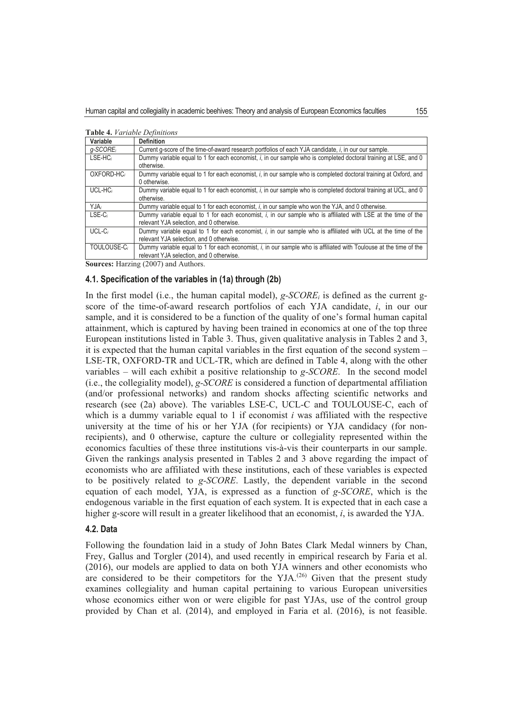| <b>Table 4.</b> <i>Variable Definitions</i> |                                                                                                                         |  |  |  |  |
|---------------------------------------------|-------------------------------------------------------------------------------------------------------------------------|--|--|--|--|
| Variable                                    | <b>Definition</b>                                                                                                       |  |  |  |  |
| $q$ -SCORE <sub>i</sub>                     | Current q-score of the time-of-award research portfolios of each YJA candidate, i, in our our sample.                   |  |  |  |  |
| $LSE-HC_i$                                  | Dummy variable equal to 1 for each economist, i, in our sample who is completed doctoral training at LSE, and 0         |  |  |  |  |
|                                             | otherwise.                                                                                                              |  |  |  |  |
| OXFORD-HC <sub>i</sub>                      | Dummy variable equal to 1 for each economist, i, in our sample who is completed doctoral training at Oxford, and        |  |  |  |  |
|                                             | 0 otherwise.                                                                                                            |  |  |  |  |
| $UCL-HCi$                                   | Dummy variable equal to 1 for each economist, <i>i</i> , in our sample who is completed doctoral training at UCL, and 0 |  |  |  |  |
|                                             | otherwise.                                                                                                              |  |  |  |  |
| YJA,                                        | Dummy variable equal to 1 for each economist, i, in our sample who won the YJA, and 0 otherwise.                        |  |  |  |  |
| $LSE-C_i$                                   | Dummy variable equal to 1 for each economist, i, in our sample who is affiliated with LSE at the time of the            |  |  |  |  |
|                                             | relevant YJA selection, and 0 otherwise.                                                                                |  |  |  |  |
| $UCL-Ci$                                    | Dummy variable equal to 1 for each economist, i, in our sample who is affiliated with UCL at the time of the            |  |  |  |  |
|                                             | relevant YJA selection, and 0 otherwise.                                                                                |  |  |  |  |
| TOULOUSE-Ci                                 | Dummy variable equal to 1 for each economist, i, in our sample who is affiliated with Toulouse at the time of the       |  |  |  |  |
|                                             | relevant YJA selection, and 0 otherwise.                                                                                |  |  |  |  |

**7DEOH** *Variable Definitions* 

**Sources:** Harzing (2007) and Authors.

### **4.1. Specification of the variables in (1a) through (2b)**

In the first model (i.e., the human capital model),  $g$ -*SCORE<sub>i</sub>* is defined as the current gscore of the time-of-award research portfolios of each YJA candidate, *i*, in our our sample, and it is considered to be a function of the quality of one's formal human capital attainment, which is captured by having been trained in economics at one of the top three European institutions listed in Table 3. Thus, given qualitative analysis in Tables 2 and 3, it is expected that the human capital variables in the first equation of the second system  $-$ LSE-TR, OXFORD-TR and UCL-TR, which are defined in Table 4, along with the other variables – will each exhibit a positive relationship to  $g$ -*SCORE*. In the second model (i.e., the collegiality model),  $g$ -SCORE is considered a function of departmental affiliation (and/or professional networks) and random shocks affecting scientific networks and research (see (2a) above). The variables LSE-C, UCL-C and TOULOUSE-C, each of which is a dummy variable equal to 1 if economist  $i$  was affiliated with the respective university at the time of his or her YJA (for recipients) or YJA candidacy (for nonrecipients), and 0 otherwise, capture the culture or collegiality represented within the economics faculties of these three institutions vis-à-vis their counterparts in our sample. Given the rankings analysis presented in Tables 2 and 3 above regarding the impact of economists who are affiliated with these institutions, each of these variables is expected to be positively related to *g-SCORE*. Lastly, the dependent variable in the second equation of each model, YJA, is expressed as a function of  $g$ -*SCORE*, which is the endogenous variable in the first equation of each system. It is expected that in each case a higher g-score will result in a greater likelihood that an economist, *i*, is awarded the YJA.

## **4.2. Data**

Following the foundation laid in a study of John Bates Clark Medal winners by Chan, Frey, Gallus and Torgler (2014), and used recently in empirical research by Faria et al.  $(2016)$ , our models are applied to data on both YJA winners and other economists who are considered to be their competitors for the YJA.<sup>(26)</sup> Given that the present study examines collegiality and human capital pertaining to various European universities whose economics either won or were eligible for past YJAs, use of the control group provided by Chan et al.  $(2014)$ , and employed in Faria et al.  $(2016)$ , is not feasible.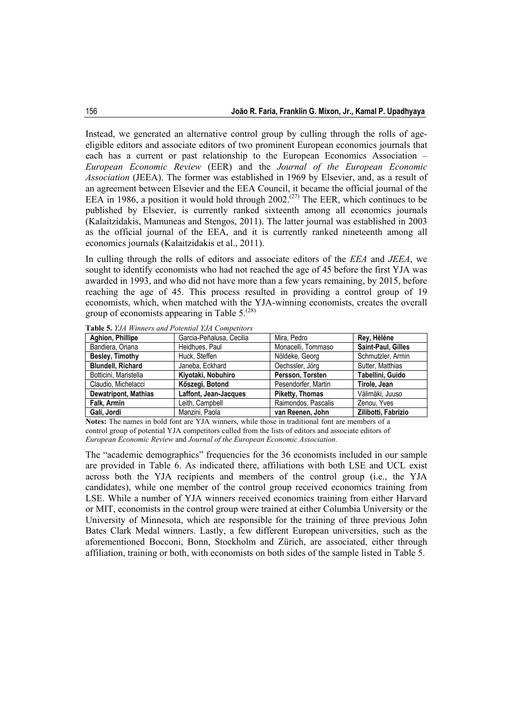Instead, we generated an alternative control group by culling through the rolls of ageeligible editors and associate editors of two prominent European economics journals that each has a current or past relationship to the European Economics Association – *European Economic Review* (EER) and the *Journal of the European Economic Association* (JEEA). The former was established in 1969 by Elsevier, and, as a result of an agreement between Elsevier and the EEA Council, it became the official journal of the EEA in 1986, a position it would hold through  $2002^{(27)}$  The EER, which continues to be published by Elsevier, is currently ranked sixteenth among all economics journals (Kalaitzidakis, Mamuneas and Stengos, 2011). The latter journal was established in 2003 as the official journal of the EEA, and it is currently ranked nineteenth among all economics journals (Kalaitzidakis et al., 2011).

In culling through the rolls of editors and associate editors of the *EEA* and *JEEA*, we sought to identify economists who had not reached the age of 45 before the first YJA was awarded in 1993, and who did not have more than a few years remaining, by 2015, before reaching the age of 45. This process resulted in providing a control group of 19 economists, which, when matched with the YJA-winning economists, creates the overall group of economists appearing in Table  $5^{(28)}$ 

| Aghion, Phillipe            | Garcia-Peñalusa, Cecilia | Mira, Pedro            | Rey, Hèléne         |
|-----------------------------|--------------------------|------------------------|---------------------|
| Bandiera, Oriana            | Heidhues, Paul           | Monacelli, Tommaso     | Saint-Paul, Gilles  |
| Besley, Timothy             | Huck. Steffen            | Nöldeke, Georg         | Schmutzler, Armin   |
| <b>Blundell, Richard</b>    | Janeba, Eckhard          | Oechssler, Jörg        | Sutter, Matthias    |
| Botticini, Maristella       | Kiyotaki, Nobuhiro       | Persson, Torsten       | Tabellini, Guido    |
| Claudio, Michelacci         | Kőszegi, Botond          | Pesendorfer, Martin    | Tirole, Jean        |
| <b>Dewatripont, Mathias</b> | Laffont, Jean-Jacques    | <b>Piketty, Thomas</b> | Välimäki, Juuso     |
| Falk. Armin                 | Leith, Campbell          | Raimondos, Pascalis    | Zenou. Yves         |
| Galí, Jordi                 | Manzini, Paola           | van Reenen, John       | Zilibotti, Fabrizio |

**Table 5.** *YJA Winners and Potential YJA Competitors*

**Notes:** The names in bold font are YJA winners, while those in traditional font are members of a control group of potential YJA competitors culled from the lists of editors and associate editors of *European Economic Review* and *Journal of the European Economic Association*.

The "academic demographics" frequencies for the 36 economists included in our sample are provided in Table 6. As indicated there, affiliations with both LSE and UCL exist across both the YJA recipients and members of the control group (i.e., the YJA candidates), while one member of the control group received economics training from LSE. While a number of YJA winners received economics training from either Harvard or MIT, economists in the control group were trained at either Columbia University or the University of Minnesota, which are responsible for the training of three previous John Bates Clark Medal winners. Lastly, a few different European universities, such as the aforementioned Bocconi, Bonn, Stockholm and Zürich, are associated, either through affiliation, training or both, with economists on both sides of the sample listed in Table 5.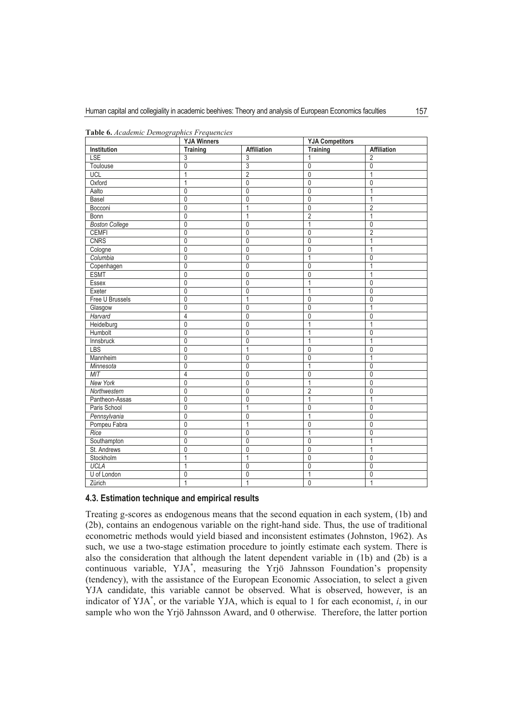|                       | <b>YJA Winners</b> |                | <b>YJA Competitors</b> |                |  |
|-----------------------|--------------------|----------------|------------------------|----------------|--|
| Institution           | <b>Training</b>    | Affiliation    | <b>Training</b>        | Affiliation    |  |
| <b>LSE</b>            | 3                  | 3              | 1                      | $\overline{2}$ |  |
| Toulouse              | $\mathbf{0}$       | 3              | $\mathbf{0}$           | 0              |  |
| UCL                   | 1                  | $\overline{2}$ | $\mathbf{0}$           | 1              |  |
| Oxford                | 1                  | 0              | $\mathbf{0}$           | $\mathbf 0$    |  |
| Aalto                 | $\overline{0}$     | $\mathbf 0$    | $\mathbf 0$            | $\mathbf{1}$   |  |
| Basel                 | 0                  | 0              | $\mathbf{0}$           | 1              |  |
| Bocconi               | $\mathbf 0$        | 1              | $\mathbf 0$            | $\overline{2}$ |  |
| <b>Bonn</b>           | 0                  | 1              | $\overline{2}$         | 1              |  |
| <b>Boston College</b> | $\mathbf{0}$       | $\Omega$       | 1                      | $\mathbf{0}$   |  |
| <b>CEMFI</b>          | 0                  | $\mathbf{0}$   | $\mathbf 0$            | $\overline{2}$ |  |
| <b>CNRS</b>           | 0                  | 0              | $\mathbf{0}$           | 1              |  |
| Cologne               | $\overline{0}$     | $\mathbf 0$    | $\mathbf 0$            | 1              |  |
| Columbia              | $\overline{0}$     | 0              | 1                      | $\mathbf 0$    |  |
| Copenhagen            | $\overline{0}$     | 0              | $\mathbf{0}$           | $\overline{1}$ |  |
| <b>ESMT</b>           | 0                  | $\mathbf{0}$   | $\mathbf{0}$           | 1              |  |
| Essex                 | $\mathbf 0$        | $\mathbf{0}$   | $\mathbf{1}$           | 0              |  |
| Exeter                | $\overline{0}$     | 0              | $\overline{1}$         | $\mathbf{0}$   |  |
| Free U Brussels       | $\mathbf{0}$       | 1              | $\Omega$               | $\mathbf 0$    |  |
| Glasgow               | $\overline{0}$     | 0              | $\mathbf 0$            | 1              |  |
| Harvard               | 4                  | 0              | $\mathbf{0}$           | 0              |  |
| Heidelburg            | $\overline{0}$     | $\mathbf{0}$   | 1                      | 1              |  |
| Humbolt               | $\overline{0}$     | 0              | $\overline{1}$         | $\mathbf 0$    |  |
| Innsbruck             | $\overline{0}$     | $\mathbf{0}$   | 1                      | 1              |  |
| LBS                   | 0                  | 1              | $\mathbf{0}$           | 0              |  |
| Mannheim              | $\mathbf 0$        | $\mathbf{0}$   | $\mathbf{0}$           | 1              |  |
| Minnesota             | $\overline{0}$     | $\mathbf{0}$   | $\mathbf{1}$           | $\mathbf 0$    |  |
| <b>MIT</b>            | $\overline{4}$     | 0              | $\mathbf{0}$           | 0              |  |
| <b>New York</b>       | 0                  | 0              | $\mathbf{1}$           | $\mathbf 0$    |  |
| Northwestern          | 0                  | 0              | $\overline{2}$         | $\mathbf 0$    |  |
| Pantheon-Assas        | $\overline{0}$     | $\mathbf{0}$   | $\mathbf{1}$           | 1              |  |
| Paris School          | $\overline{0}$     | 1              | $\overline{0}$         | $\overline{0}$ |  |
| Pennsylvania          | $\overline{0}$     | $\mathbf{0}$   | $\mathbf{1}$           | $\mathbf 0$    |  |
| Pompeu Fabra          | 0                  | 1              | $\mathbf{0}$           | 0              |  |
| Rice                  | 0                  | $\mathbf{0}$   | 1                      | 0              |  |
| Southampton           | $\overline{0}$     | 0              | $\mathbf{0}$           | $\overline{1}$ |  |
| St. Andrews           | $\overline{0}$     | 0              | $\mathbf 0$            | 1              |  |
| Stockholm             | 1                  | 1              | $\mathbf{0}$           | $\mathbf 0$    |  |
| <b>UCLA</b>           | 1                  | 0              | $\mathbf{0}$           | $\mathbf{0}$   |  |
| U of London           | 0                  | 0              | $\mathbf{1}$           | 0              |  |
| Zürich                | 1                  | 1              | $\mathbf{0}$           | $\overline{1}$ |  |

**Table 6.** Academic Demographics Frequencies

#### **4.3. Estimation technique and empirical results**

Treating g-scores as endogenous means that the second equation in each system. (1b) and  $(2b)$ , contains an endogenous variable on the right-hand side. Thus, the use of traditional econometric methods would vield biased and inconsistent estimates (Johnston, 1962). As such, we use a two-stage estimation procedure to jointly estimate each system. There is also the consideration that although the latent dependent variable in (1b) and (2b) is a continuous variable, YJA<sup>\*</sup>, measuring the Yrjö Jahnsson Foundation's propensity (tendency), with the assistance of the European Economic Association, to select a given YJA candidate, this variable cannot be observed. What is observed, however, is an indicator of YJA<sup>\*</sup>, or the variable YJA, which is equal to 1 for each economist,  $i$ , in our sample who won the Yrjö Jahnsson Award, and 0 otherwise. Therefore, the latter portion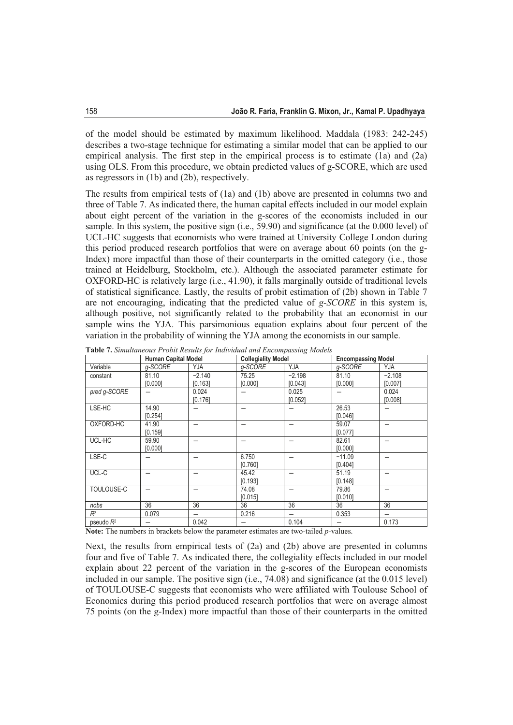of the model should be estimated by maximum likelihood. Maddala  $(1983: 242-245)$ describes a two-stage technique for estimating a similar model that can be applied to our empirical analysis. The first step in the empirical process is to estimate  $(1a)$  and  $(2a)$ using OLS. From this procedure, we obtain predicted values of g-SCORE, which are used as regressors in  $(1b)$  and  $(2b)$ , respectively.

The results from empirical tests of  $(1a)$  and  $(1b)$  above are presented in columns two and three of Table 7. As indicated there, the human capital effects included in our model explain about eight percent of the variation in the g-scores of the economists included in our sample. In this system, the positive sign (i.e.,  $\overline{59.90}$ ) and significance (at the 0.000 level) of UCL-HC suggests that economists who were trained at University College London during this period produced research portfolios that were on average about 60 points (on the g-Index) more impactful than those of their counterparts in the omitted category (i.e., those trained at Heidelburg, Stockholm, etc.). Although the associated parameter estimate for OXFORD-HC is relatively large (i.e., 41.90), it falls marginally outside of traditional levels of statistical significance. Lastly, the results of probit estimation of  $(2b)$  shown in Table 7 are not encouraging, indicating that the predicted value of  $g$ -*SCORE* in this system is, although positive, not significantly related to the probability that an economist in our sample wins the YJA. This parsimonious equation explains about four percent of the variation in the probability of winning the YJA among the economists in our sample.

|              | <b>Human Capital Model</b> |                          | <b>Collegiality Model</b> |          |          | <b>Encompassing Model</b> |  |
|--------------|----------------------------|--------------------------|---------------------------|----------|----------|---------------------------|--|
| Variable     | q-SCORE                    | YJA                      | q-SCORE                   | YJA      | a-SCORE  | YJA                       |  |
| constant     | 81.10                      | $-2.140$                 | 75.25                     | $-2.198$ | 81.10    | $-2.108$                  |  |
|              | [0.000]                    | [0.163]                  | [0.000]                   | [0.043]  | [0.000]  | [0.007]                   |  |
| pred g-SCORE |                            | 0.024                    |                           | 0.025    |          | 0.024                     |  |
|              |                            | [0.176]                  |                           | [0.052]  |          | [0.008]                   |  |
| LSE-HC       | 14.90                      |                          |                           |          | 26.53    |                           |  |
|              | [0.254]                    |                          |                           |          | [0.046]  |                           |  |
| OXFORD-HC    | 41.90                      |                          |                           |          | 59.07    |                           |  |
|              | [0.159]                    |                          |                           |          | [0.077]  |                           |  |
| UCL-HC       | 59.90                      |                          |                           |          | 82.61    |                           |  |
|              | [0.000]                    |                          |                           |          | [0.000]  |                           |  |
| LSE-C        |                            |                          | 6.750                     |          | $-11.09$ |                           |  |
|              |                            |                          | [0.760]                   |          | [0.404]  |                           |  |
| UCL-C        |                            |                          | 45.42                     |          | 51.19    |                           |  |
|              |                            |                          | [0.193]                   |          | [0.148]  |                           |  |
| TOULOUSE-C   |                            |                          | 74.08                     |          | 79.86    |                           |  |
|              |                            |                          | [0.015]                   |          | [0.010]  |                           |  |
| nobs         | 36                         | 36                       | 36                        | 36       | 36       | 36                        |  |
| $R^2$        | 0.079                      | $\overline{\phantom{0}}$ | 0.216                     |          | 0.353    | $\overline{\phantom{0}}$  |  |
| pseudo $R^2$ |                            | 0.042                    |                           | 0.104    |          | 0.173                     |  |

**Table 7.** Simultaneous Probit Results for Individual and Encompassing Models

**Note:** The numbers in brackets below the parameter estimates are two-tailed *p*-values.

Next, the results from empirical tests of  $(2a)$  and  $(2b)$  above are presented in columns four and five of Table 7. As indicated there, the collegiality effects included in our model explain about 22 percent of the variation in the g-scores of the European economists included in our sample. The positive sign (i.e.,  $74.08$ ) and significance (at the  $0.015$  level) of TOULOUSE-C suggests that economists who were affiliated with Toulouse School of Economics during this period produced research portfolios that were on average almost 75 points (on the g-Index) more impactful than those of their counterparts in the omitted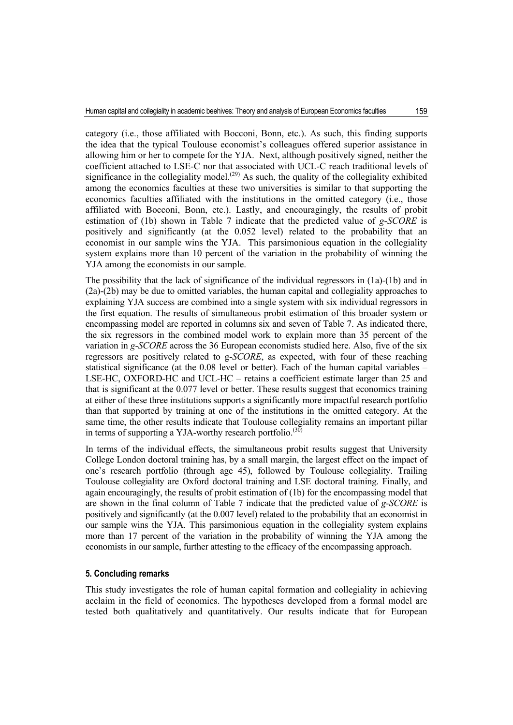category (i.e., those affiliated with Bocconi, Bonn, etc.). As such, this finding supports the idea that the typical Toulouse economist's colleagues offered superior assistance in allowing him or her to compete for the YJA. Next, although positively signed, neither the coefficient attached to LSE-C nor that associated with UCL-C reach traditional levels of significance in the collegiality model.<sup> $(29)$ </sup> As such, the quality of the collegiality exhibited among the economics faculties at these two universities is similar to that supporting the economics faculties affiliated with the institutions in the omitted category (i.e., those affiliated with Bocconi, Bonn, etc.). Lastly, and encouragingly, the results of probit estimation of (1b) shown in Table 7 indicate that the predicted value of *g-SCORE* is positively and significantly (at the 0.052 level) related to the probability that an economist in our sample wins the YJA. This parsimonious equation in the collegiality system explains more than 10 percent of the variation in the probability of winning the YJA among the economists in our sample.

The possibility that the lack of significance of the individual regressors in (1a)-(1b) and in (2a)-(2b) may be due to omitted variables, the human capital and collegiality approaches to explaining YJA success are combined into a single system with six individual regressors in the first equation. The results of simultaneous probit estimation of this broader system or encompassing model are reported in columns six and seven of Table 7. As indicated there, the six regressors in the combined model work to explain more than 35 percent of the variation in *g-SCORE* across the 36 European economists studied here. Also, five of the six regressors are positively related to g-*SCORE*, as expected, with four of these reaching statistical significance (at the 0.08 level or better). Each of the human capital variables – LSE-HC, OXFORD-HC and UCL-HC – retains a coefficient estimate larger than 25 and that is significant at the 0.077 level or better. These results suggest that economics training at either of these three institutions supports a significantly more impactful research portfolio than that supported by training at one of the institutions in the omitted category. At the same time, the other results indicate that Toulouse collegiality remains an important pillar in terms of supporting a YJA-worthy research portfolio.<sup>(30)</sup>

In terms of the individual effects, the simultaneous probit results suggest that University College London doctoral training has, by a small margin, the largest effect on the impact of one's research portfolio (through age 45), followed by Toulouse collegiality. Trailing Toulouse collegiality are Oxford doctoral training and LSE doctoral training. Finally, and again encouragingly, the results of probit estimation of (1b) for the encompassing model that are shown in the final column of Table 7 indicate that the predicted value of *g-SCORE* is positively and significantly (at the 0.007 level) related to the probability that an economist in our sample wins the YJA. This parsimonious equation in the collegiality system explains more than 17 percent of the variation in the probability of winning the YJA among the economists in our sample, further attesting to the efficacy of the encompassing approach.

#### **5. Concluding remarks**

This study investigates the role of human capital formation and collegiality in achieving acclaim in the field of economics. The hypotheses developed from a formal model are tested both qualitatively and quantitatively. Our results indicate that for European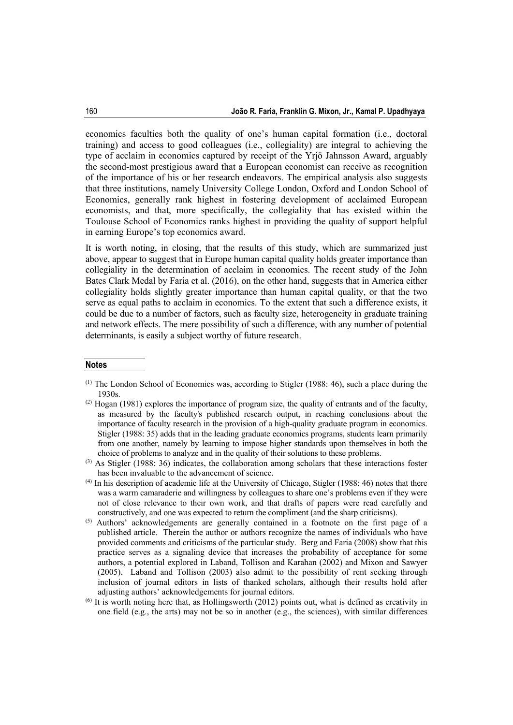economics faculties both the quality of one's human capital formation (i.e., doctoral training) and access to good colleagues (i.e., collegiality) are integral to achieving the type of acclaim in economics captured by receipt of the Yrjö Jahnsson Award, arguably the second-most prestigious award that a European economist can receive as recognition of the importance of his or her research endeavors. The empirical analysis also suggests that three institutions, namely University College London, Oxford and London School of Economics, generally rank highest in fostering development of acclaimed European economists, and that, more specifically, the collegiality that has existed within the Toulouse School of Economics ranks highest in providing the quality of support helpful in earning Europe's top economics award.

It is worth noting, in closing, that the results of this study, which are summarized just above, appear to suggest that in Europe human capital quality holds greater importance than collegiality in the determination of acclaim in economics. The recent study of the John Bates Clark Medal by Faria et al. (2016), on the other hand, suggests that in America either collegiality holds slightly greater importance than human capital quality, or that the two serve as equal paths to acclaim in economics. To the extent that such a difference exists, it could be due to a number of factors, such as faculty size, heterogeneity in graduate training and network effects. The mere possibility of such a difference, with any number of potential determinants, is easily a subject worthy of future research.

#### **Notes**

 $<sup>(1)</sup>$  The London School of Economics was, according to Stigler (1988: 46), such a place during the</sup> 1930s.

 $(2)$  Hogan (1981) explores the importance of program size, the quality of entrants and of the faculty, as measured by the faculty's published research output, in reaching conclusions about the importance of faculty research in the provision of a high-quality graduate program in economics. Stigler (1988: 35) adds that in the leading graduate economics programs, students learn primarily from one another, namely by learning to impose higher standards upon themselves in both the choice of problems to analyze and in the quality of their solutions to these problems.

<sup>(3)</sup> As Stigler (1988: 36) indicates, the collaboration among scholars that these interactions foster has been invaluable to the advancement of science.

 $<sup>(4)</sup>$  In his description of academic life at the University of Chicago, Stigler (1988: 46) notes that there</sup> was a warm camaraderie and willingness by colleagues to share one's problems even if they were not of close relevance to their own work, and that drafts of papers were read carefully and constructively, and one was expected to return the compliment (and the sharp criticisms).

<sup>(5)</sup> Authors' acknowledgements are generally contained in a footnote on the first page of a published article. Therein the author or authors recognize the names of individuals who have provided comments and criticisms of the particular study. Berg and Faria (2008) show that this practice serves as a signaling device that increases the probability of acceptance for some authors, a potential explored in Laband, Tollison and Karahan (2002) and Mixon and Sawyer (2005). Laband and Tollison (2003) also admit to the possibility of rent seeking through inclusion of journal editors in lists of thanked scholars, although their results hold after adjusting authors' acknowledgements for journal editors.

 $<sup>(6)</sup>$  It is worth noting here that, as Hollingsworth (2012) points out, what is defined as creativity in</sup> one field (e.g., the arts) may not be so in another (e.g., the sciences), with similar differences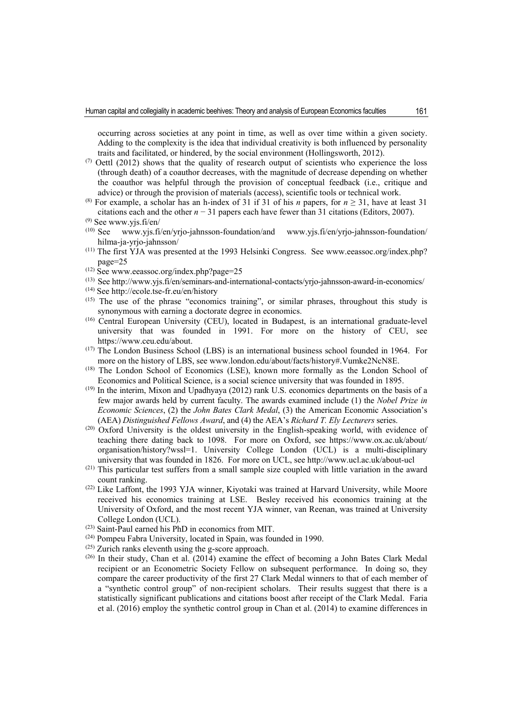occurring across societies at any point in time, as well as over time within a given society. Adding to the complexity is the idea that individual creativity is both influenced by personality traits and facilitated, or hindered, by the social environment (Hollingsworth, 2012).

- $(7)$  Oettl (2012) shows that the quality of research output of scientists who experience the loss (through death) of a coauthor decreases, with the magnitude of decrease depending on whether the coauthor was helpful through the provision of conceptual feedback (i.e., critique and advice) or through the provision of materials (access), scientific tools or technical work.
- <sup>(8)</sup> For example, a scholar has an h-index of 31 if 31 of his *n* papers, for  $n \ge 31$ , have at least 31 citations each and the other *n* − 31 papers each have fewer than 31 citations (Editors, 2007).

- $(10)$  See www.yjs.fi/en/yrjo-jahnsson-foundation/and www.yjs.fi/en/yrjo-jahnsson-foundation/ hilma-ja-yrjo-jahnsson/
- $(11)$  The first YJA was presented at the 1993 Helsinki Congress. See www.eeassoc.org/index.php? page=25
- $(12)$  See www.eeassoc.org/index.php?page=25
- (13) See http://www.yjs.fi/en/seminars-and-international-contacts/yrjo-jahnsson-award-in-economics/
- (14) See http://ecole.tse-fr.eu/en/history
- (15) The use of the phrase "economics training", or similar phrases, throughout this study is synonymous with earning a doctorate degree in economics.
- (16) Central European University (CEU), located in Budapest, is an international graduate-level university that was founded in 1991. For more on the history of CEU, see https://www.ceu.edu/about.
- (17) The London Business School (LBS) is an international business school founded in 1964. For more on the history of LBS, see www.london.edu/about/facts/history#.Vumke2NcN8E.
- (18) The London School of Economics (LSE), known more formally as the London School of Economics and Political Science, is a social science university that was founded in 1895.
- (19) In the interim, Mixon and Upadhyaya (2012) rank U.S. economics departments on the basis of a few major awards held by current faculty. The awards examined include (1) the *Nobel Prize in Economic Sciences*, (2) the *John Bates Clark Medal*, (3) the American Economic Association's (AEA) *Distinguished Fellows Award*, and (4) the AEA's *Richard T. Ely Lecturers* series.
- (20) Oxford University is the oldest university in the English-speaking world, with evidence of teaching there dating back to 1098. For more on Oxford, see https://www.ox.ac.uk/about/ organisation/history?wssl=1. University College London (UCL) is a multi-disciplinary university that was founded in 1826. For more on UCL, see http://www.ucl.ac.uk/about-ucl
- (21) This particular test suffers from a small sample size coupled with little variation in the award count ranking.
- (22) Like Laffont, the 1993 YJA winner, Kiyotaki was trained at Harvard University, while Moore received his economics training at LSE. Besley received his economics training at the University of Oxford, and the most recent YJA winner, van Reenan, was trained at University College London (UCL).
- (23) Saint-Paul earned his PhD in economics from MIT.
- (24) Pompeu Fabra University, located in Spain, was founded in 1990.
- (25) Zurich ranks eleventh using the g-score approach.
- (26) In their study, Chan et al. (2014) examine the effect of becoming a John Bates Clark Medal recipient or an Econometric Society Fellow on subsequent performance. In doing so, they compare the career productivity of the first 27 Clark Medal winners to that of each member of a "synthetic control group" of non-recipient scholars. Their results suggest that there is a statistically significant publications and citations boost after receipt of the Clark Medal. Faria et al. (2016) employ the synthetic control group in Chan et al. (2014) to examine differences in

 $(9)$  See www.yjs.fi/en/